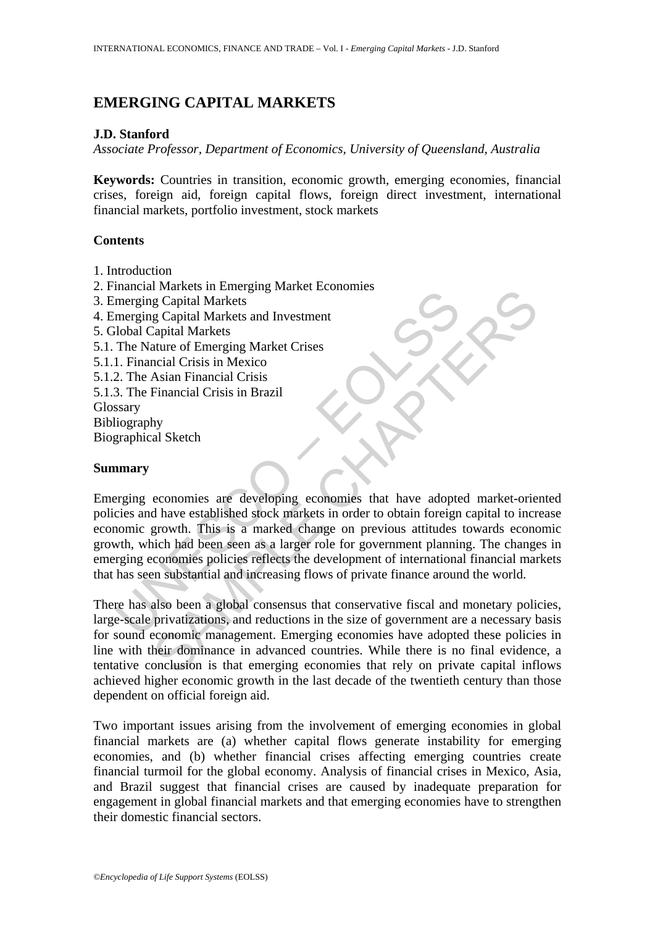# **EMERGING CAPITAL MARKETS**

# **J.D. Stanford**

*Associate Professor, Department of Economics, University of Queensland, Australia* 

**Keywords:** Countries in transition, economic growth, emerging economies, financial crises, foreign aid, foreign capital flows, foreign direct investment, international financial markets, portfolio investment, stock markets

# **Contents**

- 1. Introduction
- 2. Financial Markets in Emerging Market Economies
- 3. Emerging Capital Markets
- 4. Emerging Capital Markets and Investment
- 5. Global Capital Markets
- 5.1. The Nature of Emerging Market Crises
- 5.1.1. Financial Crisis in Mexico
- 5.1.2. The Asian Financial Crisis
- 5.1.3. The Financial Crisis in Brazil

Glossary

Bibliography

Biographical Sketch

# **Summary**

mencing Capital Markets<br>
merging Capital Markets<br>
merging Capital Markets<br>
merging Capital Markets<br>
The Nature of Emerging Market Crises<br>
1. Financial Crisis in Mexico<br>
2. The Asian Financial Crisis in Brazil<br>
Sary<br>
liogra For the states in Entergrals what the experiments of a grapital Markets and Investment<br>
Secondal Markets and Investment<br>
Capital Markets and Investment<br>
Capital Markets<br>
Incine of Emerging Market Crises<br>
Incine In Crisis i Emerging economies are developing economies that have adopted market-oriented policies and have established stock markets in order to obtain foreign capital to increase economic growth. This is a marked change on previous attitudes towards economic growth, which had been seen as a larger role for government planning. The changes in emerging economies policies reflects the development of international financial markets that has seen substantial and increasing flows of private finance around the world.

There has also been a global consensus that conservative fiscal and monetary policies, large-scale privatizations, and reductions in the size of government are a necessary basis for sound economic management. Emerging economies have adopted these policies in line with their dominance in advanced countries. While there is no final evidence, a tentative conclusion is that emerging economies that rely on private capital inflows achieved higher economic growth in the last decade of the twentieth century than those dependent on official foreign aid.

Two important issues arising from the involvement of emerging economies in global financial markets are (a) whether capital flows generate instability for emerging economies, and (b) whether financial crises affecting emerging countries create financial turmoil for the global economy. Analysis of financial crises in Mexico, Asia, and Brazil suggest that financial crises are caused by inadequate preparation for engagement in global financial markets and that emerging economies have to strengthen their domestic financial sectors.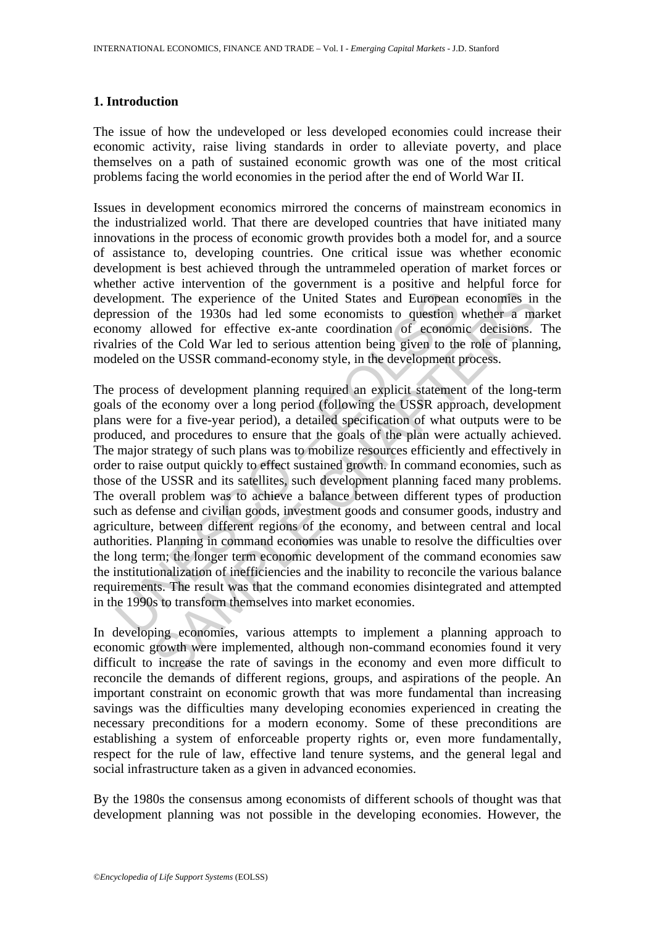### **1. Introduction**

The issue of how the undeveloped or less developed economies could increase their economic activity, raise living standards in order to alleviate poverty, and place themselves on a path of sustained economic growth was one of the most critical problems facing the world economies in the period after the end of World War II.

Issues in development economics mirrored the concerns of mainstream economics in the industrialized world. That there are developed countries that have initiated many innovations in the process of economic growth provides both a model for, and a source of assistance to, developing countries. One critical issue was whether economic development is best achieved through the untrammeled operation of market forces or whether active intervention of the government is a positive and helpful force for development. The experience of the United States and European economies in the depression of the 1930s had led some economists to question whether a market economy allowed for effective ex-ante coordination of economic decisions. The rivalries of the Cold War led to serious attention being given to the role of planning, modeled on the USSR command-economy style, in the development process.

elopment. The experience of the United States and European<br>ression of the 1930s had led some economists to question<br>omy allowed for effective ex-ante coordination of econom<br>lries of the Cold War led to serious attention be In The experience of the United States and European economies in<br>of the 1930s had led some conomists to question whether a mallowed for effective ex-ante conotination of economic decisions.<br>The Cold War led to serious atte The process of development planning required an explicit statement of the long-term goals of the economy over a long period (following the USSR approach, development plans were for a five-year period), a detailed specification of what outputs were to be produced, and procedures to ensure that the goals of the plan were actually achieved. The major strategy of such plans was to mobilize resources efficiently and effectively in order to raise output quickly to effect sustained growth. In command economies, such as those of the USSR and its satellites, such development planning faced many problems. The overall problem was to achieve a balance between different types of production such as defense and civilian goods, investment goods and consumer goods, industry and agriculture, between different regions of the economy, and between central and local authorities. Planning in command economies was unable to resolve the difficulties over the long term; the longer term economic development of the command economies saw the institutionalization of inefficiencies and the inability to reconcile the various balance requirements. The result was that the command economies disintegrated and attempted in the 1990s to transform themselves into market economies.

In developing economies, various attempts to implement a planning approach to economic growth were implemented, although non-command economies found it very difficult to increase the rate of savings in the economy and even more difficult to reconcile the demands of different regions, groups, and aspirations of the people. An important constraint on economic growth that was more fundamental than increasing savings was the difficulties many developing economies experienced in creating the necessary preconditions for a modern economy. Some of these preconditions are establishing a system of enforceable property rights or, even more fundamentally, respect for the rule of law, effective land tenure systems, and the general legal and social infrastructure taken as a given in advanced economies.

By the 1980s the consensus among economists of different schools of thought was that development planning was not possible in the developing economies. However, the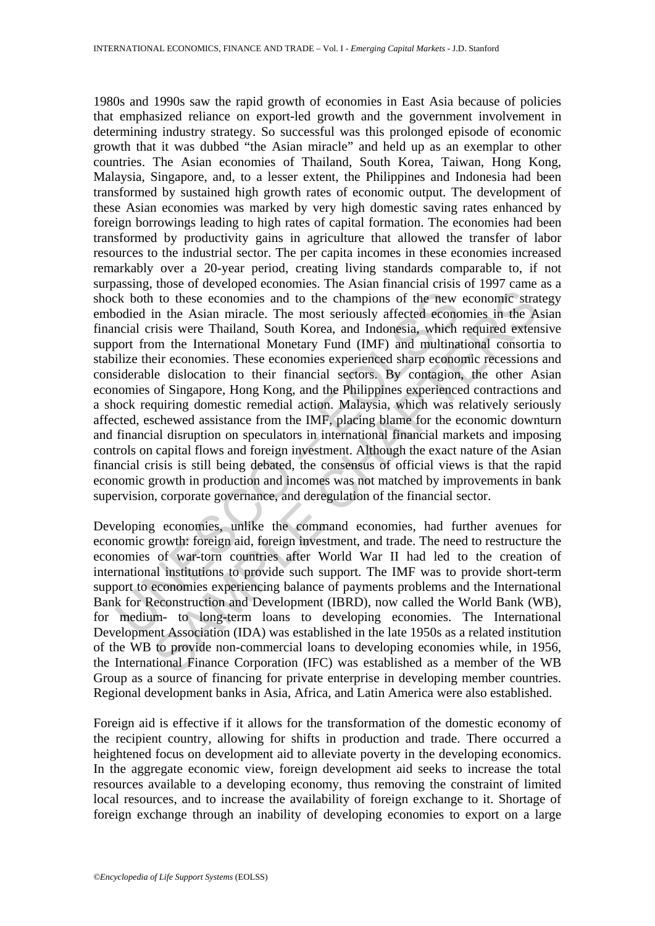External to the comminism of the new odied in the Asian miracle. The most seriously affected econoncial crisis were Thailand, South Korea, and Indonesia, which over from the International Monetary Fund (IMF) and multinal i 1 to these economies and to the champions of the new economic strain the Asian miracle. The most seriously affected economics in the Asian miracle. The most seriously affected economics in the Arisis were Thailand, South K 1980s and 1990s saw the rapid growth of economies in East Asia because of policies that emphasized reliance on export-led growth and the government involvement in determining industry strategy. So successful was this prolonged episode of economic growth that it was dubbed "the Asian miracle" and held up as an exemplar to other countries. The Asian economies of Thailand, South Korea, Taiwan, Hong Kong, Malaysia, Singapore, and, to a lesser extent, the Philippines and Indonesia had been transformed by sustained high growth rates of economic output. The development of these Asian economies was marked by very high domestic saving rates enhanced by foreign borrowings leading to high rates of capital formation. The economies had been transformed by productivity gains in agriculture that allowed the transfer of labor resources to the industrial sector. The per capita incomes in these economies increased remarkably over a 20-year period, creating living standards comparable to, if not surpassing, those of developed economies. The Asian financial crisis of 1997 came as a shock both to these economies and to the champions of the new economic strategy embodied in the Asian miracle. The most seriously affected economies in the Asian financial crisis were Thailand, South Korea, and Indonesia, which required extensive support from the International Monetary Fund (IMF) and multinational consortia to stabilize their economies. These economies experienced sharp economic recessions and considerable dislocation to their financial sectors. By contagion, the other Asian economies of Singapore, Hong Kong, and the Philippines experienced contractions and a shock requiring domestic remedial action. Malaysia, which was relatively seriously affected, eschewed assistance from the IMF, placing blame for the economic downturn and financial disruption on speculators in international financial markets and imposing controls on capital flows and foreign investment. Although the exact nature of the Asian financial crisis is still being debated, the consensus of official views is that the rapid economic growth in production and incomes was not matched by improvements in bank supervision, corporate governance, and deregulation of the financial sector.

Developing economies, unlike the command economies, had further avenues for economic growth: foreign aid, foreign investment, and trade. The need to restructure the economies of war-torn countries after World War II had led to the creation of international institutions to provide such support. The IMF was to provide short-term support to economies experiencing balance of payments problems and the International Bank for Reconstruction and Development (IBRD), now called the World Bank (WB), for medium- to long-term loans to developing economies. The International Development Association (IDA) was established in the late 1950s as a related institution of the WB to provide non-commercial loans to developing economies while, in 1956, the International Finance Corporation (IFC) was established as a member of the WB Group as a source of financing for private enterprise in developing member countries. Regional development banks in Asia, Africa, and Latin America were also established.

Foreign aid is effective if it allows for the transformation of the domestic economy of the recipient country, allowing for shifts in production and trade. There occurred a heightened focus on development aid to alleviate poverty in the developing economics. In the aggregate economic view, foreign development aid seeks to increase the total resources available to a developing economy, thus removing the constraint of limited local resources, and to increase the availability of foreign exchange to it. Shortage of foreign exchange through an inability of developing economies to export on a large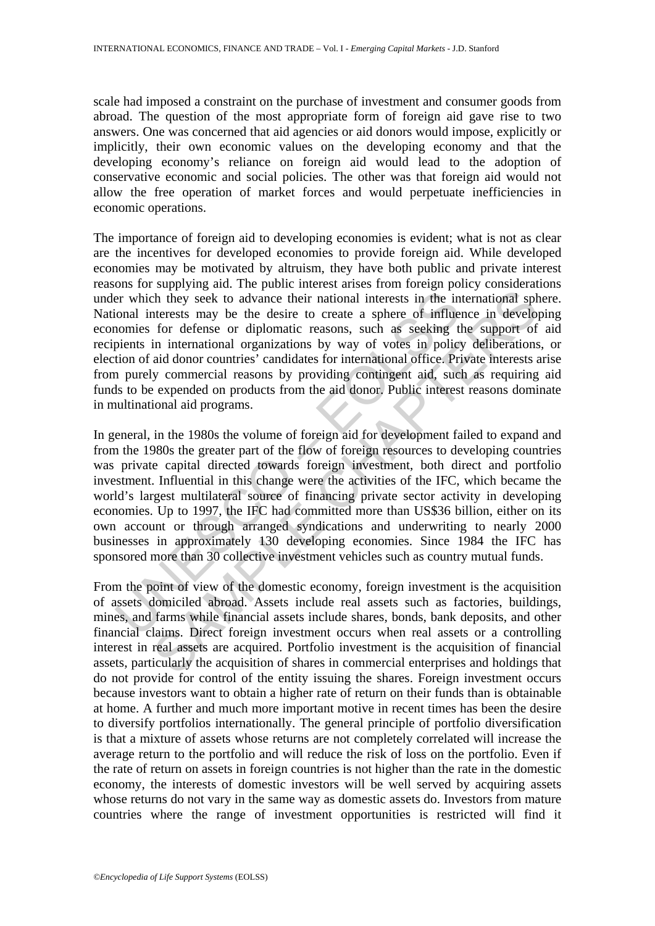scale had imposed a constraint on the purchase of investment and consumer goods from abroad. The question of the most appropriate form of foreign aid gave rise to two answers. One was concerned that aid agencies or aid donors would impose, explicitly or implicitly, their own economic values on the developing economy and that the developing economy's reliance on foreign aid would lead to the adoption of conservative economic and social policies. The other was that foreign aid would not allow the free operation of market forces and would perpetuate inefficiencies in economic operations.

The importance of foreign aid to developing economies is evident; what is not as clear are the incentives for developed economies to provide foreign aid. While developed economies may be motivated by altruism, they have both public and private interest reasons for supplying aid. The public interest arises from foreign policy considerations under which they seek to advance their national interests in the international sphere. National interests may be the desire to create a sphere of influence in developing economies for defense or diplomatic reasons, such as seeking the support of aid recipients in international organizations by way of votes in policy deliberations, or election of aid donor countries' candidates for international office. Private interests arise from purely commercial reasons by providing contingent aid, such as requiring aid funds to be expended on products from the aid donor. Public interest reasons dominate in multinational aid programs.

er which they seek to advance their national interests in the in<br>ional interests may be the desire to create a sphere of influe<br>ional interests may be the desire to create a sphere of influe<br>ional interests may be the desi <sup>1</sup> They seek to advance their national interests in the international spherests may be the desire to create a sphere of influence in develop for defense or diplomatic reasons, such as seeking the upport of the internation In general, in the 1980s the volume of foreign aid for development failed to expand and from the 1980s the greater part of the flow of foreign resources to developing countries was private capital directed towards foreign investment, both direct and portfolio investment. Influential in this change were the activities of the IFC, which became the world's largest multilateral source of financing private sector activity in developing economies. Up to 1997, the IFC had committed more than US\$36 billion, either on its own account or through arranged syndications and underwriting to nearly 2000 businesses in approximately 130 developing economies. Since 1984 the IFC has sponsored more than 30 collective investment vehicles such as country mutual funds.

From the point of view of the domestic economy, foreign investment is the acquisition of assets domiciled abroad. Assets include real assets such as factories, buildings, mines, and farms while financial assets include shares, bonds, bank deposits, and other financial claims. Direct foreign investment occurs when real assets or a controlling interest in real assets are acquired. Portfolio investment is the acquisition of financial assets, particularly the acquisition of shares in commercial enterprises and holdings that do not provide for control of the entity issuing the shares. Foreign investment occurs because investors want to obtain a higher rate of return on their funds than is obtainable at home. A further and much more important motive in recent times has been the desire to diversify portfolios internationally. The general principle of portfolio diversification is that a mixture of assets whose returns are not completely correlated will increase the average return to the portfolio and will reduce the risk of loss on the portfolio. Even if the rate of return on assets in foreign countries is not higher than the rate in the domestic economy, the interests of domestic investors will be well served by acquiring assets whose returns do not vary in the same way as domestic assets do. Investors from mature countries where the range of investment opportunities is restricted will find it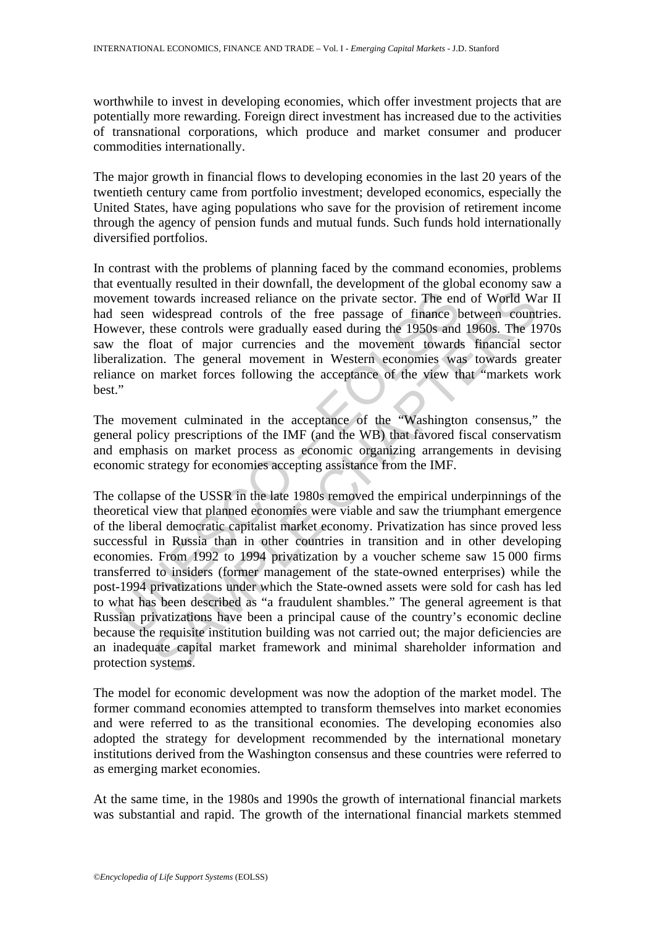worthwhile to invest in developing economies, which offer investment projects that are potentially more rewarding. Foreign direct investment has increased due to the activities of transnational corporations, which produce and market consumer and producer commodities internationally.

The major growth in financial flows to developing economies in the last 20 years of the twentieth century came from portfolio investment; developed economics, especially the United States, have aging populations who save for the provision of retirement income through the agency of pension funds and mutual funds. Such funds hold internationally diversified portfolios.

In contrast with the problems of planning faced by the command economies, problems that eventually resulted in their downfall, the development of the global economy saw a movement towards increased reliance on the private sector. The end of World War II had seen widespread controls of the free passage of finance between countries. However, these controls were gradually eased during the 1950s and 1960s. The 1970s saw the float of major currencies and the movement towards financial sector liberalization. The general movement in Western economies was towards greater reliance on market forces following the acceptance of the view that "markets work best."

The movement culminated in the acceptance of the "Washington consensus," the general policy prescriptions of the IMF (and the WB) that favored fiscal conservatism and emphasis on market process as economic organizing arrangements in devising economic strategy for economies accepting assistance from the IMF.

where the controls increased reliance on the private sector. The encoment towards increased controls of the free passage of finance betwer, these controls were gradually eased during the 1950s and the float of major curren towards increased reliance on the private sector. The end of World Wissues<br>covards increased reliance on the private sector. The end of World Wissues controls were gradually eased of time 1950s and 1960S. The 1961 and<br>floa The collapse of the USSR in the late 1980s removed the empirical underpinnings of the theoretical view that planned economies were viable and saw the triumphant emergence of the liberal democratic capitalist market economy. Privatization has since proved less successful in Russia than in other countries in transition and in other developing economies. From 1992 to 1994 privatization by a voucher scheme saw 15 000 firms transferred to insiders (former management of the state-owned enterprises) while the post-1994 privatizations under which the State-owned assets were sold for cash has led to what has been described as "a fraudulent shambles." The general agreement is that Russian privatizations have been a principal cause of the country's economic decline because the requisite institution building was not carried out; the major deficiencies are an inadequate capital market framework and minimal shareholder information and protection systems.

The model for economic development was now the adoption of the market model. The former command economies attempted to transform themselves into market economies and were referred to as the transitional economies. The developing economies also adopted the strategy for development recommended by the international monetary institutions derived from the Washington consensus and these countries were referred to as emerging market economies.

At the same time, in the 1980s and 1990s the growth of international financial markets was substantial and rapid. The growth of the international financial markets stemmed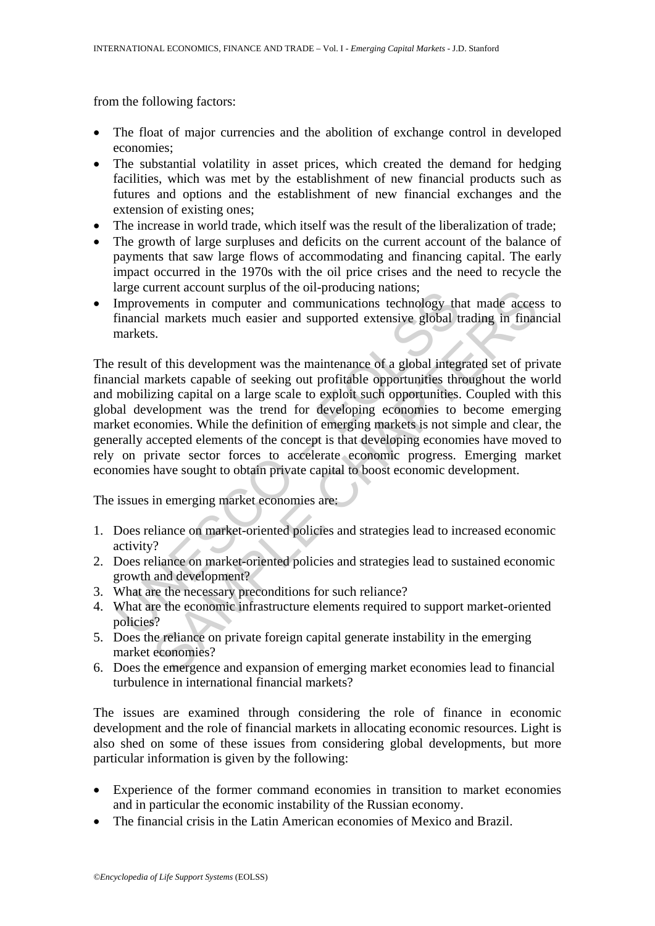from the following factors:

- The float of major currencies and the abolition of exchange control in developed economies;
- The substantial volatility in asset prices, which created the demand for hedging facilities, which was met by the establishment of new financial products such as futures and options and the establishment of new financial exchanges and the extension of existing ones;
- The increase in world trade, which itself was the result of the liberalization of trade;
- The growth of large surpluses and deficits on the current account of the balance of payments that saw large flows of accommodating and financing capital. The early impact occurred in the 1970s with the oil price crises and the need to recycle the large current account surplus of the oil-producing nations;
- Improvements in computer and communications technology that made access to financial markets much easier and supported extensive global trading in financial markets.

increase transmittion in computer and communications the bag direct in the following matrices.<br>
Improvements in computer and communications technology the financial markets much easier and supported extensive global t mark infurate count supplies on ite in-potoucing inations,<br>the emerits in computer and communications technology that made access<br>al markets much easier and supported extensive global trading in finar<br>s.<br>S.<br>of this development The result of this development was the maintenance of a global integrated set of private financial markets capable of seeking out profitable opportunities throughout the world and mobilizing capital on a large scale to exploit such opportunities. Coupled with this global development was the trend for developing economies to become emerging market economies. While the definition of emerging markets is not simple and clear, the generally accepted elements of the concept is that developing economies have moved to rely on private sector forces to accelerate economic progress. Emerging market economies have sought to obtain private capital to boost economic development.

The issues in emerging market economies are:

- 1. Does reliance on market-oriented policies and strategies lead to increased economic activity?
- 2. Does reliance on market-oriented policies and strategies lead to sustained economic growth and development?
- 3. What are the necessary preconditions for such reliance?
- 4. What are the economic infrastructure elements required to support market-oriented policies?
- 5. Does the reliance on private foreign capital generate instability in the emerging market economies?
- 6. Does the emergence and expansion of emerging market economies lead to financial turbulence in international financial markets?

The issues are examined through considering the role of finance in economic development and the role of financial markets in allocating economic resources. Light is also shed on some of these issues from considering global developments, but more particular information is given by the following:

- Experience of the former command economies in transition to market economies and in particular the economic instability of the Russian economy.
- The financial crisis in the Latin American economies of Mexico and Brazil.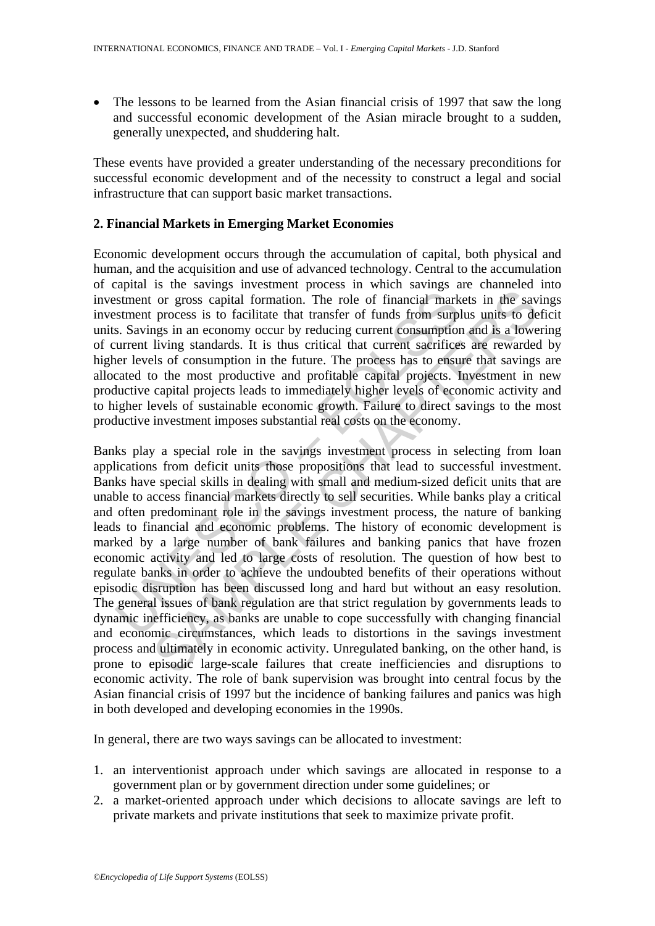The lessons to be learned from the Asian financial crisis of 1997 that saw the long and successful economic development of the Asian miracle brought to a sudden, generally unexpected, and shuddering halt.

These events have provided a greater understanding of the necessary preconditions for successful economic development and of the necessity to construct a legal and social infrastructure that can support basic market transactions.

# **2. Financial Markets in Emerging Market Economies**

Economic development occurs through the accumulation of capital, both physical and human, and the acquisition and use of advanced technology. Central to the accumulation of capital is the savings investment process in which savings are channeled into investment or gross capital formation. The role of financial markets in the savings investment process is to facilitate that transfer of funds from surplus units to deficit units. Savings in an economy occur by reducing current consumption and is a lowering of current living standards. It is thus critical that current sacrifices are rewarded by higher levels of consumption in the future. The process has to ensure that savings are allocated to the most productive and profitable capital projects. Investment in new productive capital projects leads to immediately higher levels of economic activity and to higher levels of sustainable economic growth. Failure to direct savings to the most productive investment imposes substantial real costs on the economy.

Instrument or gross capital formation. The role of financial markstment or gross capital formation. The role of financial markstment process is to facilitate that transfer of funds from surply. S. Savings in an economy occ For a strength invention. The role of financial markets in the saving the corrects in the saving the sammetic or gross capital formation. The role of financial markets in the saving process is to facilitate that transfer o Banks play a special role in the savings investment process in selecting from loan applications from deficit units those propositions that lead to successful investment. Banks have special skills in dealing with small and medium-sized deficit units that are unable to access financial markets directly to sell securities. While banks play a critical and often predominant role in the savings investment process, the nature of banking leads to financial and economic problems. The history of economic development is marked by a large number of bank failures and banking panics that have frozen economic activity and led to large costs of resolution. The question of how best to regulate banks in order to achieve the undoubted benefits of their operations without episodic disruption has been discussed long and hard but without an easy resolution. The general issues of bank regulation are that strict regulation by governments leads to dynamic inefficiency, as banks are unable to cope successfully with changing financial and economic circumstances, which leads to distortions in the savings investment process and ultimately in economic activity. Unregulated banking, on the other hand, is prone to episodic large-scale failures that create inefficiencies and disruptions to economic activity. The role of bank supervision was brought into central focus by the Asian financial crisis of 1997 but the incidence of banking failures and panics was high in both developed and developing economies in the 1990s.

In general, there are two ways savings can be allocated to investment:

- 1. an interventionist approach under which savings are allocated in response to a government plan or by government direction under some guidelines; or
- 2. a market-oriented approach under which decisions to allocate savings are left to private markets and private institutions that seek to maximize private profit.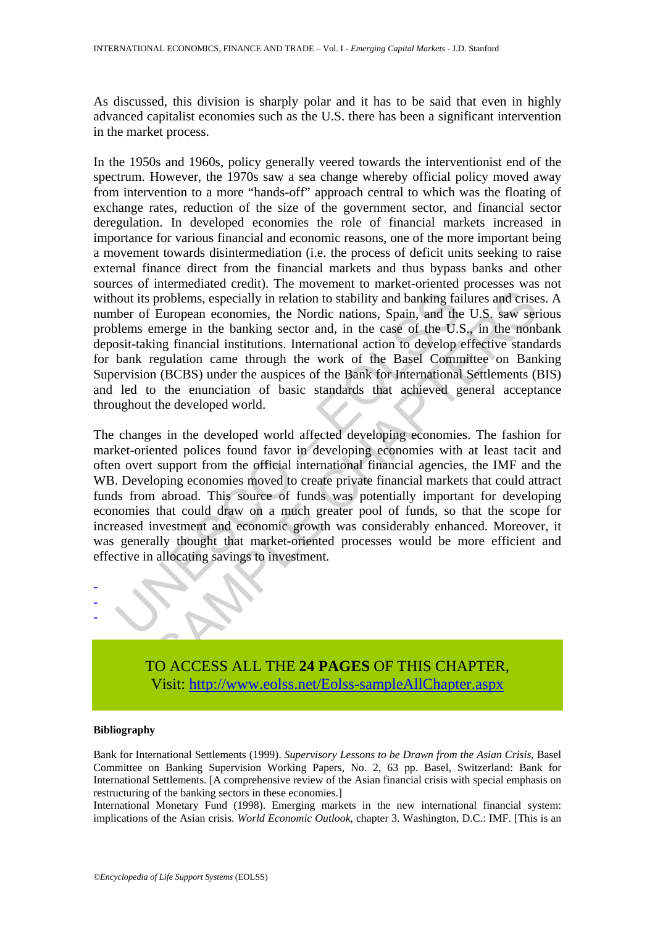As discussed, this division is sharply polar and it has to be said that even in highly advanced capitalist economies such as the U.S. there has been a significant intervention in the market process.

In the 1950s and 1960s, policy generally veered towards the interventionist end of the spectrum. However, the 1970s saw a sea change whereby official policy moved away from intervention to a more "hands-off" approach central to which was the floating of exchange rates, reduction of the size of the government sector, and financial sector deregulation. In developed economies the role of financial markets increased in importance for various financial and economic reasons, one of the more important being a movement towards disintermediation (i.e. the process of deficit units seeking to raise external finance direct from the financial markets and thus bypass banks and other sources of intermediated credit). The movement to market-oriented processes was not without its problems, especially in relation to stability and banking failures and crises. A number of European economies, the Nordic nations, Spain, and the U.S. saw serious problems emerge in the banking sector and, in the case of the U.S., in the nonbank deposit-taking financial institutions. International action to develop effective standards for bank regulation came through the work of the Basel Committee on Banking Supervision (BCBS) under the auspices of the Bank for International Settlements (BIS) and led to the enunciation of basic standards that achieved general acceptance throughout the developed world.

nout its problems, especially in relation to stability and banking failer of European economies, the Nordic nations, Spain, and the leaders emerge in the banking sector and, in the case of the U.S<br>osit-taking financial ins problems, especially in relation to stability and banking failures and crise<br>European economies, the Nordic nations, Spain, and the U.S. saw ser<br>merge in the banking sctor and, in the case of the U.S. saw ser<br>merge in the The changes in the developed world affected developing economies. The fashion for market-oriented polices found favor in developing economies with at least tacit and often overt support from the official international financial agencies, the IMF and the WB. Developing economies moved to create private financial markets that could attract funds from abroad. This source of funds was potentially important for developing economies that could draw on a much greater pool of funds, so that the scope for increased investment and economic growth was considerably enhanced. Moreover, it was generally thought that market-oriented processes would be more efficient and effective in allocating savings to investment.



TO ACCESS ALL THE **24 PAGES** OF THIS CHAPTER, Visit: [http://www.eolss.net/Eolss-sampleAllChapter.aspx](https://www.eolss.net/ebooklib/sc_cart.aspx?File=E1-23-03-05)

#### **Bibliography**

Bank for International Settlements (1999). *Supervisory Lessons to be Drawn from the Asian Crisis*, Basel Committee on Banking Supervision Working Papers, No. 2, 63 pp. Basel, Switzerland: Bank for International Settlements. [A comprehensive review of the Asian financial crisis with special emphasis on restructuring of the banking sectors in these economies.]

International Monetary Fund (1998). Emerging markets in the new international financial system: implications of the Asian crisis. *World Economic Outlook*, chapter 3. Washington, D.C.: IMF. [This is an